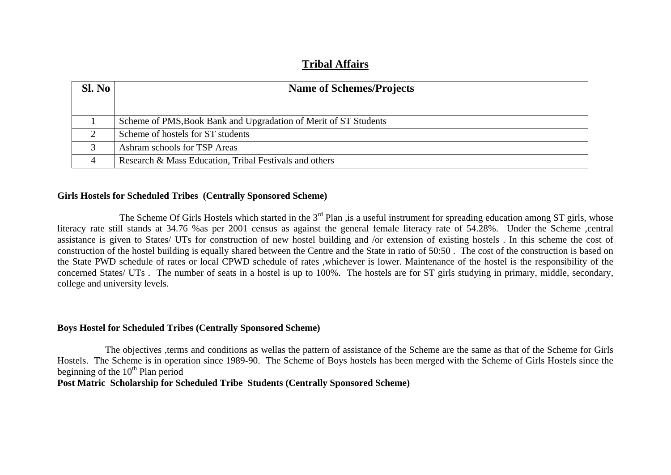## **Tribal Affairs**

| Sl. No | <b>Name of Schemes/Projects</b>                                  |
|--------|------------------------------------------------------------------|
|        |                                                                  |
|        | Scheme of PMS, Book Bank and Upgradation of Merit of ST Students |
|        | Scheme of hostels for ST students                                |
|        | Ashram schools for TSP Areas                                     |
|        | Research & Mass Education, Tribal Festivals and others           |

## **Girls Hostels for Scheduled Tribes (Centrally Sponsored Scheme)**

The Scheme Of Girls Hostels which started in the 3<sup>rd</sup> Plan , is a useful instrument for spreading education among ST girls, whose literacy rate still stands at 34.76 % as per 2001 census as against the general female literacy rate of 54.28%. Under the Scheme ,central assistance is given to States/ UTs for construction of new hostel building and /or extension of existing hostels . In this scheme the cost of construction of the hostel building is equally shared between the Centre and the State in ratio of 50:50 . The cost of the construction is based on the State PWD schedule of rates or local CPWD schedule of rates ,whichever is lower. Maintenance of the hostel is the responsibility of the concerned States/ UTs . The number of seats in a hostel is up to 100%. The hostels are for ST girls studying in primary, middle, secondary, college and university levels.

## **Boys Hostel for Scheduled Tribes (Centrally Sponsored Scheme)**

 The objectives ,terms and conditions as wellas the pattern of assistance of the Scheme are the same as that of the Scheme for Girls Hostels. The Scheme is in operation since 1989-90. The Scheme of Boys hostels has been merged with the Scheme of Girls Hostels since the beginning of the  $10^{th}$  Plan period

**Post Matric Scholarship for Scheduled Tribe Students (Centrally Sponsored Scheme)**